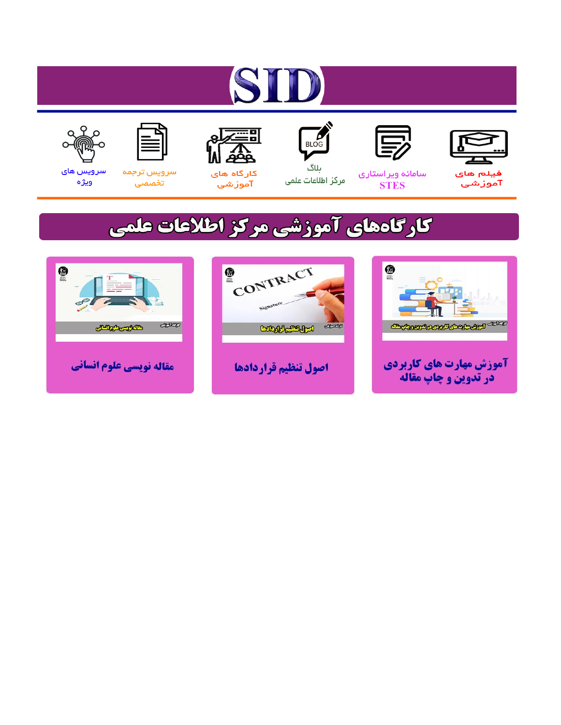# ST











مرکز اطلاعات علمی

 $\frac{1}{\sqrt{\frac{1}{100}}}$ ىلاگ



آموزشي

空

سرويس ترجمه تخصصى



سرویس های ويژه

## كارگاههای آموزشی مركز اطلاعات علمی





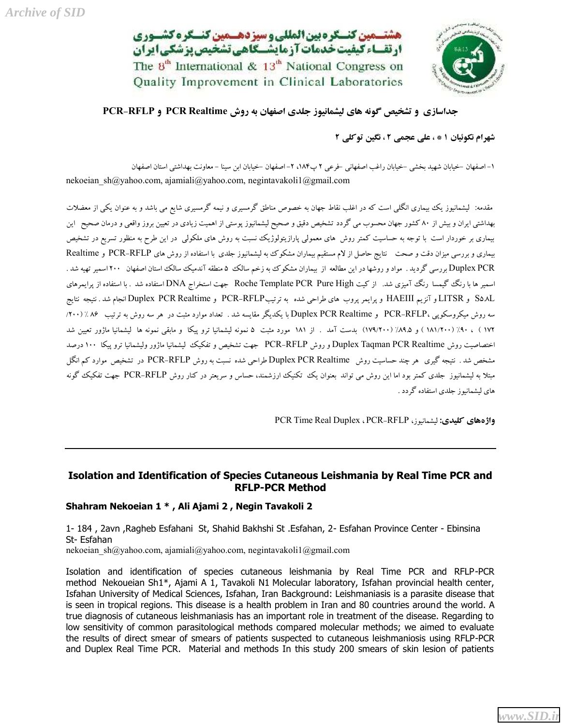هشتــمین کنــکره بین المللی و سیزدهــمین کنــکره کشــوری ارتقساء كيفيت خدمات آزمايشكاهي تشخيص بزشكي ايران The  $8^{th}$  International &  $13^{th}$  National Congress on Quality Improvement in Clinical Laboratories



### **جداسازي و تشخیص گونه هاي لیشمانیوز جلدي اصفهان به روش Realtime PCR و RFLP-PCR**

**شهرام نکوئیان 1 \* ، علی عجمی 2 ، نگین توکلی 2**

-1 اصفهان -خیابان شهید بخشی -خیابان راغب اصفهانی -فرعی 2 پ،184 -2 اصفهان -خیابان ابن سینا - معاونت بهداشتی استان اصفهان nekoeian\_sh@yahoo.com, ajamiali@yahoo.com, negintavakoli1@gmail.com

مقدمه: لیشمانیوز یک بیماري انگلی است که در اغلب نقاط جهان به خصوص مناطق گرمسیري و نیمه گرمسیري شایع می باشد و به عنوان یکی از معضلات بهداشتی ایران و بیش از 80 کشور جهان محسوب می گردد تشخیص دقیق و صحیح لیشمانیوز پوستی از اهمیت زیادي در تعیین بروز واقعی و درمان صحیح این بیماري بر خوردار است با توجه به حساسیت کمتر روش هاي معمولی پارازیتولوژیک نسبت به روش هاي ملکولی در این طرح به منظور تسریع در تشخیص بیماري و بررسی میزان دقت و صحت نتایج حاصل از لام مستقیم بیماران مشکوك به لیشمانیوز جلدي با استفاده از روش هاي RFLP-PCR و Realtime PCR Duplex بررسی گردید . مواد و روشها در این مطالعه از بیماران مشکوك به زخم سالک 5 منطقه آندمیک سالک استان اصفهان 200 اسمیر تهیه شد . اسمیر ها با رنگ گیمسا رنگ آمیزي شد. از کیت High Pure PCR Template Roche جهت استخراج DNA استفاده شد . با استفاده از پرایمرهاي L5.8S و LITSR و آنزیم HAEIII و پرایمر پروب هاي طراحی شده به ترتیبRFLP-PCR و Realtime PCR Duplex انجام شد . نتیجه نتایج سه روش میکروسکوپی ،PCR-RFLP و Duplex PCR Realtime با یکدیگر مقایسه شد . تعداد موارد مثبت در هر سه روش به ترتیب ۸۶ /(۲۰۰ 172 ) ، %90 (181/200 ) و %89.5 (179/200) بدست آمد . از 181 مورد مثبت 5 نمونه لیشمانیا ترو پیکا و مابقی نمونه ها لیشمانیا ماژور تعیین شد اختصاصیت روش Realtime PCR Taqman Duplex و روش RFLP-PCR جهت تشخیص و تفکیک لیشمانیا ماژور ولیشمانیا ترو پیکا 100 درصد مشخص شد . نتیجه گیري هر چند حساسیت روش Realtime PCR Duplex طراحی شده نسبت به روش RFLP-PCR در تشخیص موارد کم انگل مبتلا به لیشمانیوز جلدي کمتر بود اما این روش می تواند بعنوان یک تکنیک ارزشمند، حساس و سریعتر در کنار روش RFLP-PCR جهت تفکیک گونه هاي لیشمانیوز جلدي استفاده گردد .

PCR Time Real Duplex ، PCR-RFLP ،لیشمانیوز **:کلیدى واژههاى**

#### **Isolation and Identification of Species Cutaneous Leishmania by Real Time PCR and RFLP-PCR Method**

#### **Shahram Nekoeian 1 \* , Ali Ajami 2 , Negin Tavakoli 2**

1- 184 , 2avn ,Ragheb Esfahani St, Shahid Bakhshi St .Esfahan, 2- Esfahan Province Center - Ebinsina St- Esfahan

nekoeian\_sh@yahoo.com, ajamiali@yahoo.com, negintavakoli1@gmail.com

Isolation and identification of species cutaneous leishmania by Real Time PCR and RFLP-PCR method Nekoueian Sh1\*, Ajami A 1, Tavakoli N1 Molecular laboratory, Isfahan provincial health center, Isfahan University of Medical Sciences, Isfahan, Iran Background: Leishmaniasis is a parasite disease that is seen in tropical regions. This disease is a health problem in Iran and 80 countries around the world. A true diagnosis of cutaneous leishmaniasis has an important role in treatment of the disease. Regarding to low sensitivity of common parasitological methods compared molecular methods; we aimed to evaluate the results of direct smear of smears of patients suspected to cutaneous leishmaniosis using RFLP-PCR and Duplex Real Time PCR. Material and methods In this study 200 smears of skin lesion of patients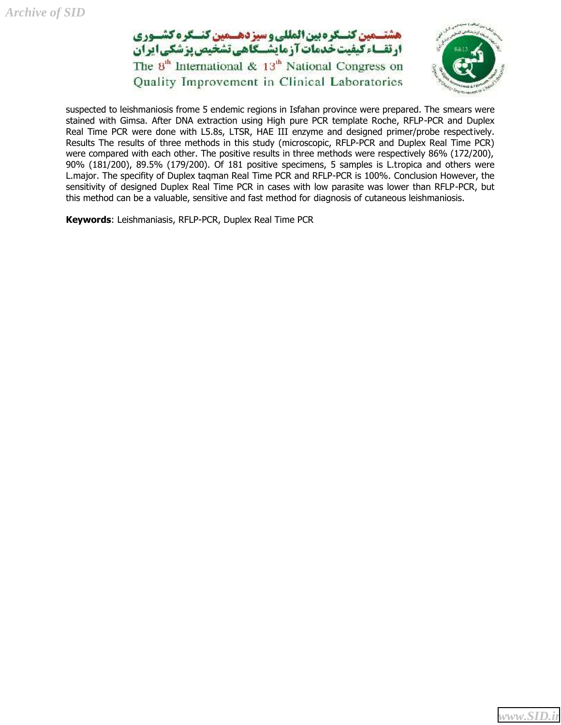



suspected to leishmaniosis frome 5 endemic regions in Isfahan province were prepared. The smears were stained with Gimsa. After DNA extraction using High pure PCR template Roche, RFLP-PCR and Duplex Real Time PCR were done with L5.8s, LTSR, HAE III enzyme and designed primer/probe respectively. Results The results of three methods in this study (microscopic, RFLP-PCR and Duplex Real Time PCR) were compared with each other. The positive results in three methods were respectively 86% (172/200), 90% (181/200), 89.5% (179/200). Of 181 positive specimens, 5 samples is L.tropica and others were L.major. The specifity of Duplex taqman Real Time PCR and RFLP-PCR is 100%. Conclusion However, the sensitivity of designed Duplex Real Time PCR in cases with low parasite was lower than RFLP-PCR, but this method can be a valuable, sensitive and fast method for diagnosis of cutaneous leishmaniosis.

**Keywords**: Leishmaniasis, RFLP-PCR, Duplex Real Time PCR